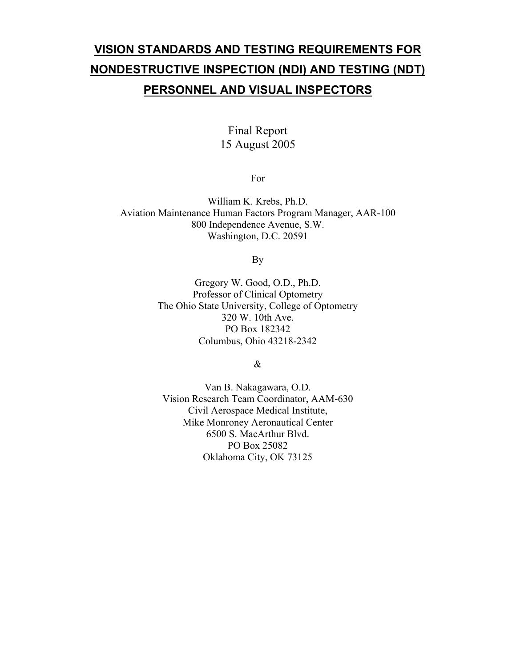# **VISION STANDARDS AND TESTING REQUIREMENTS FOR NONDESTRUCTIVE INSPECTION (NDI) AND TESTING (NDT) PERSONNEL AND VISUAL INSPECTORS**

# Final Report 15 August 2005

For

William K. Krebs, Ph.D. Aviation Maintenance Human Factors Program Manager, AAR-100 800 Independence Avenue, S.W. Washington, D.C. 20591

By

Gregory W. Good, O.D., Ph.D. Professor of Clinical Optometry The Ohio State University, College of Optometry 320 W. 10th Ave. PO Box 182342 Columbus, Ohio 43218-2342

&

Van B. Nakagawara, O.D. Vision Research Team Coordinator, AAM-630 Civil Aerospace Medical Institute, Mike Monroney Aeronautical Center 6500 S. MacArthur Blvd. PO Box 25082 Oklahoma City, OK 73125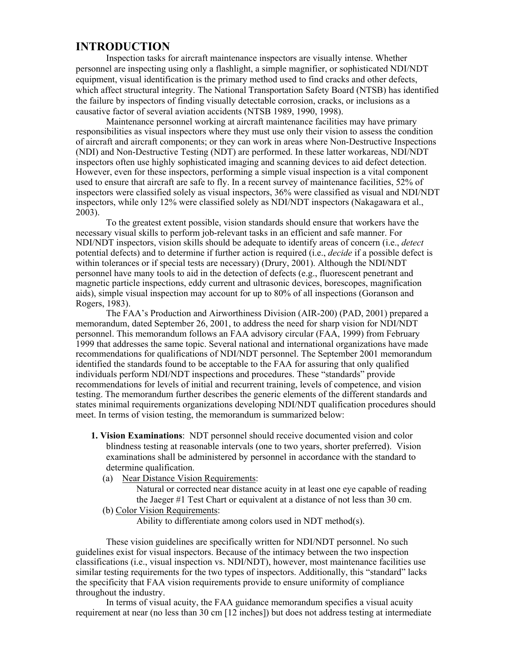# **INTRODUCTION**

Inspection tasks for aircraft maintenance inspectors are visually intense. Whether personnel are inspecting using only a flashlight, a simple magnifier, or sophisticated NDI/NDT equipment, visual identification is the primary method used to find cracks and other defects, which affect structural integrity. The National Transportation Safety Board (NTSB) has identified the failure by inspectors of finding visually detectable corrosion, cracks, or inclusions as a causative factor of several aviation accidents (NTSB 1989, 1990, 1998).

Maintenance personnel working at aircraft maintenance facilities may have primary responsibilities as visual inspectors where they must use only their vision to assess the condition of aircraft and aircraft components; or they can work in areas where Non-Destructive Inspections (NDI) and Non-Destructive Testing (NDT) are performed. In these latter workareas, NDI/NDT inspectors often use highly sophisticated imaging and scanning devices to aid defect detection. However, even for these inspectors, performing a simple visual inspection is a vital component used to ensure that aircraft are safe to fly. In a recent survey of maintenance facilities, 52% of inspectors were classified solely as visual inspectors, 36% were classified as visual and NDI/NDT inspectors, while only 12% were classified solely as NDI/NDT inspectors (Nakagawara et al., 2003).

To the greatest extent possible, vision standards should ensure that workers have the necessary visual skills to perform job-relevant tasks in an efficient and safe manner. For NDI/NDT inspectors, vision skills should be adequate to identify areas of concern (i.e., *detect* potential defects) and to determine if further action is required (i.e., *decide* if a possible defect is within tolerances or if special tests are necessary) (Drury, 2001). Although the NDI/NDT personnel have many tools to aid in the detection of defects (e.g., fluorescent penetrant and magnetic particle inspections, eddy current and ultrasonic devices, borescopes, magnification aids), simple visual inspection may account for up to 80% of all inspections (Goranson and Rogers, 1983).

The FAA's Production and Airworthiness Division (AIR-200) (PAD, 2001) prepared a memorandum, dated September 26, 2001, to address the need for sharp vision for NDI/NDT personnel. This memorandum follows an FAA advisory circular (FAA, 1999) from February 1999 that addresses the same topic. Several national and international organizations have made recommendations for qualifications of NDI/NDT personnel. The September 2001 memorandum identified the standards found to be acceptable to the FAA for assuring that only qualified individuals perform NDI/NDT inspections and procedures. These "standards" provide recommendations for levels of initial and recurrent training, levels of competence, and vision testing. The memorandum further describes the generic elements of the different standards and states minimal requirements organizations developing NDI/NDT qualification procedures should meet. In terms of vision testing, the memorandum is summarized below:

- **1. Vision Examinations**: NDT personnel should receive documented vision and color blindness testing at reasonable intervals (one to two years, shorter preferred). Vision examinations shall be administered by personnel in accordance with the standard to determine qualification.
	- (a) Near Distance Vision Requirements:

 Natural or corrected near distance acuity in at least one eye capable of reading the Jaeger #1 Test Chart or equivalent at a distance of not less than 30 cm.

# (b) Color Vision Requirements:

Ability to differentiate among colors used in NDT method(s).

These vision guidelines are specifically written for NDI/NDT personnel. No such guidelines exist for visual inspectors. Because of the intimacy between the two inspection classifications (i.e., visual inspection vs. NDI/NDT), however, most maintenance facilities use similar testing requirements for the two types of inspectors. Additionally, this "standard" lacks the specificity that FAA vision requirements provide to ensure uniformity of compliance throughout the industry.

In terms of visual acuity, the FAA guidance memorandum specifies a visual acuity requirement at near (no less than 30 cm [12 inches]) but does not address testing at intermediate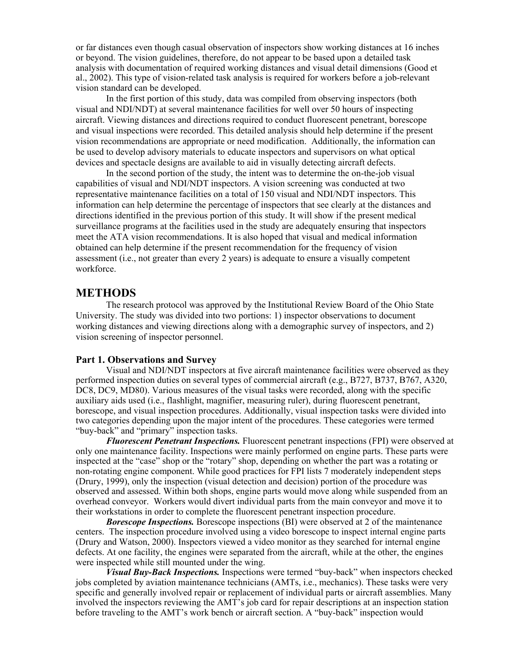or far distances even though casual observation of inspectors show working distances at 16 inches or beyond. The vision guidelines, therefore, do not appear to be based upon a detailed task analysis with documentation of required working distances and visual detail dimensions (Good et al., 2002). This type of vision-related task analysis is required for workers before a job-relevant vision standard can be developed.

In the first portion of this study, data was compiled from observing inspectors (both visual and NDI/NDT) at several maintenance facilities for well over 50 hours of inspecting aircraft. Viewing distances and directions required to conduct fluorescent penetrant, borescope and visual inspections were recorded. This detailed analysis should help determine if the present vision recommendations are appropriate or need modification. Additionally, the information can be used to develop advisory materials to educate inspectors and supervisors on what optical devices and spectacle designs are available to aid in visually detecting aircraft defects.

In the second portion of the study, the intent was to determine the on-the-job visual capabilities of visual and NDI/NDT inspectors. A vision screening was conducted at two representative maintenance facilities on a total of 150 visual and NDI/NDT inspectors. This information can help determine the percentage of inspectors that see clearly at the distances and directions identified in the previous portion of this study. It will show if the present medical surveillance programs at the facilities used in the study are adequately ensuring that inspectors meet the ATA vision recommendations. It is also hoped that visual and medical information obtained can help determine if the present recommendation for the frequency of vision assessment (i.e., not greater than every 2 years) is adequate to ensure a visually competent workforce.

# **METHODS**

The research protocol was approved by the Institutional Review Board of the Ohio State University. The study was divided into two portions: 1) inspector observations to document working distances and viewing directions along with a demographic survey of inspectors, and 2) vision screening of inspector personnel.

#### **Part 1. Observations and Survey**

Visual and NDI/NDT inspectors at five aircraft maintenance facilities were observed as they performed inspection duties on several types of commercial aircraft (e.g., B727, B737, B767, A320, DC8, DC9, MD80). Various measures of the visual tasks were recorded, along with the specific auxiliary aids used (i.e., flashlight, magnifier, measuring ruler), during fluorescent penetrant, borescope, and visual inspection procedures. Additionally, visual inspection tasks were divided into two categories depending upon the major intent of the procedures. These categories were termed "buy-back" and "primary" inspection tasks.

*Fluorescent Penetrant Inspections.* Fluorescent penetrant inspections (FPI) were observed at only one maintenance facility. Inspections were mainly performed on engine parts. These parts were inspected at the "case" shop or the "rotary" shop, depending on whether the part was a rotating or non-rotating engine component. While good practices for FPI lists 7 moderately independent steps (Drury, 1999), only the inspection (visual detection and decision) portion of the procedure was observed and assessed. Within both shops, engine parts would move along while suspended from an overhead conveyor. Workers would divert individual parts from the main conveyor and move it to their workstations in order to complete the fluorescent penetrant inspection procedure.

*Borescope Inspections.* Borescope inspections (BI) were observed at 2 of the maintenance centers. The inspection procedure involved using a video borescope to inspect internal engine parts (Drury and Watson, 2000). Inspectors viewed a video monitor as they searched for internal engine defects. At one facility, the engines were separated from the aircraft, while at the other, the engines were inspected while still mounted under the wing.

*Visual Buy-Back Inspections.* Inspections were termed "buy-back" when inspectors checked jobs completed by aviation maintenance technicians (AMTs, i.e., mechanics). These tasks were very specific and generally involved repair or replacement of individual parts or aircraft assemblies. Many involved the inspectors reviewing the AMT's job card for repair descriptions at an inspection station before traveling to the AMT's work bench or aircraft section. A "buy-back" inspection would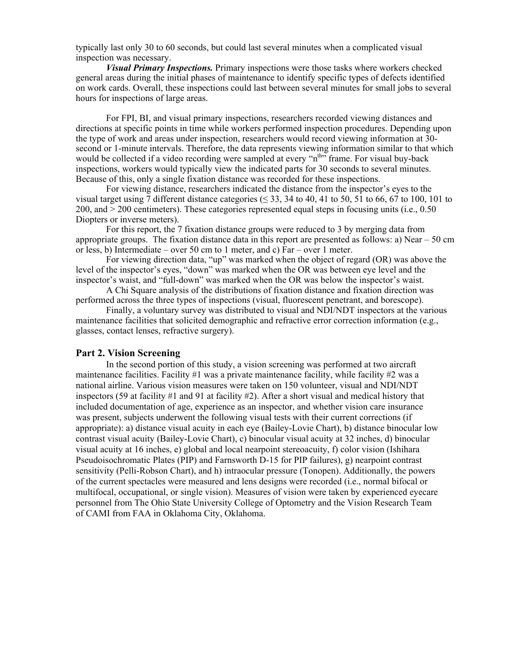typically last only 30 to 60 seconds, but could last several minutes when a complicated visual inspection was necessary.

*Visual Primary Inspections.* Primary inspections were those tasks where workers checked general areas during the initial phases of maintenance to identify specific types of defects identified on work cards. Overall, these inspections could last between several minutes for small jobs to several hours for inspections of large areas.

For FPI, BI, and visual primary inspections, researchers recorded viewing distances and directions at specific points in time while workers performed inspection procedures. Depending upon the type of work and areas under inspection, researchers would record viewing information at 30 second or 1-minute intervals. Therefore, the data represents viewing information similar to that which would be collected if a video recording were sampled at every "n<sup>th</sup>" frame. For visual buy-back inspections, workers would typically view the indicated parts for 30 seconds to several minutes. Because of this, only a single fixation distance was recorded for these inspections.

For viewing distance, researchers indicated the distance from the inspector's eyes to the visual target using  $\overline{7}$  different distance categories ( $\leq$  33, 34 to 40, 41 to 50, 51 to 66, 67 to 100, 101 to 200, and > 200 centimeters). These categories represented equal steps in focusing units (i.e., 0.50 Diopters or inverse meters).

For this report, the 7 fixation distance groups were reduced to 3 by merging data from appropriate groups. The fixation distance data in this report are presented as follows: a) Near  $-50$  cm or less, b) Intermediate – over 50 cm to 1 meter, and c) Far – over 1 meter.

For viewing direction data, "up" was marked when the object of regard (OR) was above the level of the inspector's eyes, "down" was marked when the OR was between eye level and the inspector's waist, and "full-down" was marked when the OR was below the inspector's waist.

A Chi Square analysis of the distributions of fixation distance and fixation direction was performed across the three types of inspections (visual, fluorescent penetrant, and borescope).

Finally, a voluntary survey was distributed to visual and NDI/NDT inspectors at the various maintenance facilities that solicited demographic and refractive error correction information (e.g., glasses, contact lenses, refractive surgery).

#### **Part 2. Vision Screening**

 In the second portion of this study, a vision screening was performed at two aircraft maintenance facilities. Facility #1 was a private maintenance facility, while facility #2 was a national airline. Various vision measures were taken on 150 volunteer, visual and NDI/NDT inspectors (59 at facility #1 and 91 at facility #2). After a short visual and medical history that included documentation of age, experience as an inspector, and whether vision care insurance was present, subjects underwent the following visual tests with their current corrections (if appropriate): a) distance visual acuity in each eye (Bailey-Lovie Chart), b) distance binocular low contrast visual acuity (Bailey-Lovie Chart), c) binocular visual acuity at 32 inches, d) binocular visual acuity at 16 inches, e) global and local nearpoint stereoacuity, f) color vision (Ishihara Pseudoisochromatic Plates (PIP) and Farnsworth D-15 for PIP failures), g) nearpoint contrast sensitivity (Pelli-Robson Chart), and h) intraocular pressure (Tonopen). Additionally, the powers of the current spectacles were measured and lens designs were recorded (i.e., normal bifocal or multifocal, occupational, or single vision). Measures of vision were taken by experienced eyecare personnel from The Ohio State University College of Optometry and the Vision Research Team of CAMI from FAA in Oklahoma City, Oklahoma.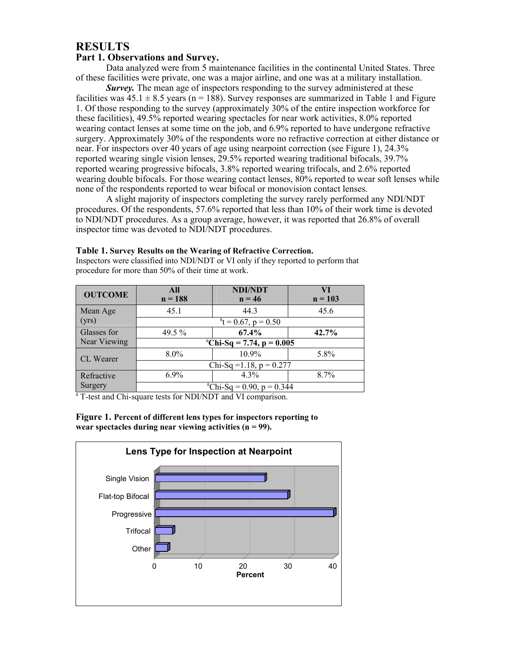# **RESULTS**

### **Part 1. Observations and Survey.**

Data analyzed were from 5 maintenance facilities in the continental United States. Three of these facilities were private, one was a major airline, and one was at a military installation.

*Survey.* The mean age of inspectors responding to the survey administered at these facilities was  $45.1 \pm 8.5$  years (n = 188). Survey responses are summarized in Table 1 and Figure 1. Of those responding to the survey (approximately 30% of the entire inspection workforce for these facilities), 49.5% reported wearing spectacles for near work activities, 8.0% reported wearing contact lenses at some time on the job, and 6.9% reported to have undergone refractive surgery. Approximately 30% of the respondents wore no refractive correction at either distance or near. For inspectors over 40 years of age using nearpoint correction (see Figure 1), 24.3% reported wearing single vision lenses, 29.5% reported wearing traditional bifocals, 39.7% reported wearing progressive bifocals, 3.8% reported wearing trifocals, and 2.6% reported wearing double bifocals. For those wearing contact lenses, 80% reported to wear soft lenses while none of the respondents reported to wear bifocal or monovision contact lenses.

A slight majority of inspectors completing the survey rarely performed any NDI/NDT procedures. Of the respondents, 57.6% reported that less than 10% of their work time is devoted to NDI/NDT procedures. As a group average, however, it was reported that 26.8% of overall inspector time was devoted to NDI/NDT procedures.

| <b>OUTCOME</b>                                                          | All<br>$n = 188$                        | <b>NDI/NDT</b><br>$n = 46$ | VI<br>$n = 103$ |  |
|-------------------------------------------------------------------------|-----------------------------------------|----------------------------|-----------------|--|
| Mean Age                                                                | 45.1                                    | 44.3                       | 45.6            |  |
| (yrs)                                                                   | $^{\circ}$ t = 0.67, p = 0.50           |                            |                 |  |
| Glasses for                                                             | 49.5 $%$                                | 67.4%                      | 42.7%           |  |
| Near Viewing                                                            | <sup>a</sup> Chi-Sq = 7.74, p = $0.005$ |                            |                 |  |
| <b>CL</b> Wearer                                                        | $8.0\%$                                 | $10.9\%$                   | 5.8%            |  |
|                                                                         | Chi-Sq = $1.18$ , p = 0.277             |                            |                 |  |
| Refractive                                                              | $6.9\%$                                 | $4.3\%$                    | 8.7%            |  |
| Surgery                                                                 | <sup>a</sup> Chi-Sq = 0.90, p = 0.344   |                            |                 |  |
| <sup>a</sup> T-test and Chi-square tests for NDI/NDT and VI comparison. |                                         |                            |                 |  |

Inspectors were classified into NDI/NDT or VI only if they reported to perform that

**Table 1. Survey Results on the Wearing of Refractive Correction.** 

procedure for more than 50% of their time at work.

**Figure 1. Percent of different lens types for inspectors reporting to wear spectacles during near viewing activities (n = 99).** 

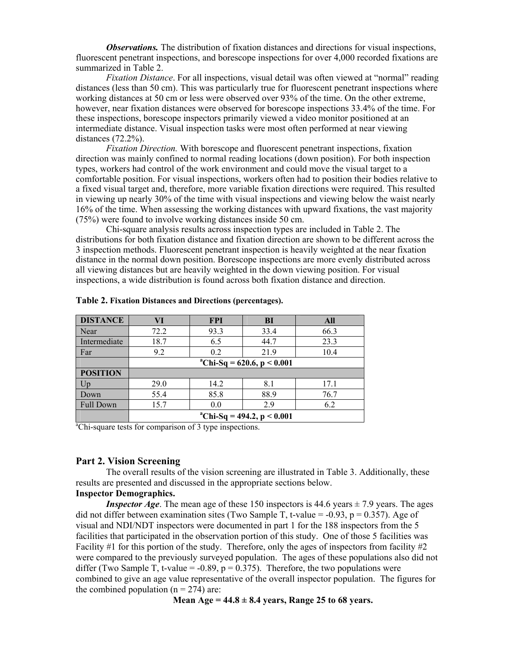*Observations.* The distribution of fixation distances and directions for visual inspections, fluorescent penetrant inspections, and borescope inspections for over 4,000 recorded fixations are summarized in Table 2.

*Fixation Distance*. For all inspections, visual detail was often viewed at "normal" reading distances (less than 50 cm). This was particularly true for fluorescent penetrant inspections where working distances at 50 cm or less were observed over 93% of the time. On the other extreme, however, near fixation distances were observed for borescope inspections 33.4% of the time. For these inspections, borescope inspectors primarily viewed a video monitor positioned at an intermediate distance. Visual inspection tasks were most often performed at near viewing distances (72.2%).

*Fixation Direction.* With borescope and fluorescent penetrant inspections, fixation direction was mainly confined to normal reading locations (down position). For both inspection types, workers had control of the work environment and could move the visual target to a comfortable position. For visual inspections, workers often had to position their bodies relative to a fixed visual target and, therefore, more variable fixation directions were required. This resulted in viewing up nearly 30% of the time with visual inspections and viewing below the waist nearly 16% of the time. When assessing the working distances with upward fixations, the vast majority (75%) were found to involve working distances inside 50 cm.

Chi-square analysis results across inspection types are included in Table 2. The distributions for both fixation distance and fixation direction are shown to be different across the 3 inspection methods. Fluorescent penetrant inspection is heavily weighted at the near fixation distance in the normal down position. Borescope inspections are more evenly distributed across all viewing distances but are heavily weighted in the down viewing position. For visual inspections, a wide distribution is found across both fixation distance and direction.

| <b>DISTANCE</b>  | VI                                       | <b>FPI</b> | <b>BI</b> | All  |  |
|------------------|------------------------------------------|------------|-----------|------|--|
| Near             | 72.2                                     | 93.3       | 33.4      | 66.3 |  |
| Intermediate     | 18.7                                     | 6.5        | 44.7      | 23.3 |  |
| Far              | 9.2                                      | 0.2        | 21.9      | 10.4 |  |
|                  | <sup>a</sup> Chi-Sq = 620.6, p < 0.001   |            |           |      |  |
| <b>POSITION</b>  |                                          |            |           |      |  |
| Up               | 29.0                                     | 14.2       | 8.1       | 17.1 |  |
| Down             | 55.4                                     | 85.8       | 88.9      | 76.7 |  |
| <b>Full Down</b> | 15.7                                     | 0.0        | 2.9       | 6.2  |  |
|                  | <sup>a</sup> Chi-Sq = 494.2, p < $0.001$ |            |           |      |  |

**Table 2. Fixation Distances and Directions (percentages).** 

<sup>a</sup>Chi-square tests for comparison of 3 type inspections.

#### **Part 2. Vision Screening**

The overall results of the vision screening are illustrated in Table 3. Additionally, these results are presented and discussed in the appropriate sections below. **Inspector Demographics.** 

*Inspector Age*. The mean age of these 150 inspectors is  $44.6$  years  $\pm$  7.9 years. The ages did not differ between examination sites (Two Sample T, t-value =  $-0.93$ , p = 0.357). Age of visual and NDI/NDT inspectors were documented in part 1 for the 188 inspectors from the 5 facilities that participated in the observation portion of this study. One of those 5 facilities was Facility #1 for this portion of the study. Therefore, only the ages of inspectors from facility #2 were compared to the previously surveyed population. The ages of these populations also did not differ (Two Sample T, t-value =  $-0.89$ ,  $p = 0.375$ ). Therefore, the two populations were combined to give an age value representative of the overall inspector population. The figures for the combined population  $(n = 274)$  are:

**Mean Age = 44.8 ± 8.4 years, Range 25 to 68 years.**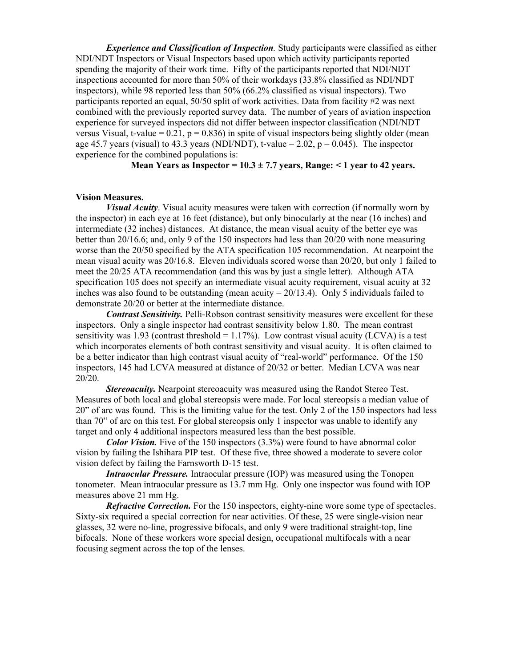*Experience and Classification of Inspection.* Study participants were classified as either NDI/NDT Inspectors or Visual Inspectors based upon which activity participants reported spending the majority of their work time. Fifty of the participants reported that NDI/NDT inspections accounted for more than 50% of their workdays (33.8% classified as NDI/NDT inspectors), while 98 reported less than 50% (66.2% classified as visual inspectors). Two participants reported an equal, 50/50 split of work activities. Data from facility #2 was next combined with the previously reported survey data. The number of years of aviation inspection experience for surveyed inspectors did not differ between inspector classification (NDI/NDT versus Visual, t-value =  $0.21$ ,  $p = 0.836$ ) in spite of visual inspectors being slightly older (mean age 45.7 years (visual) to 43.3 years (NDI/NDT), t-value = 2.02,  $p = 0.045$ ). The inspector experience for the combined populations is:

#### **Mean Years as Inspector =**  $10.3 \pm 7.7$  **years, Range: < 1 year to 42 years.**

#### **Vision Measures.**

*Visual Acuity*. Visual acuity measures were taken with correction (if normally worn by the inspector) in each eye at 16 feet (distance), but only binocularly at the near (16 inches) and intermediate (32 inches) distances. At distance, the mean visual acuity of the better eye was better than 20/16.6; and, only 9 of the 150 inspectors had less than 20/20 with none measuring worse than the 20/50 specified by the ATA specification 105 recommendation. At nearpoint the mean visual acuity was 20/16.8. Eleven individuals scored worse than 20/20, but only 1 failed to meet the 20/25 ATA recommendation (and this was by just a single letter). Although ATA specification 105 does not specify an intermediate visual acuity requirement, visual acuity at 32 inches was also found to be outstanding (mean acuity  $= 20/13.4$ ). Only 5 individuals failed to demonstrate 20/20 or better at the intermediate distance.

*Contrast Sensitivity.* Pelli-Robson contrast sensitivity measures were excellent for these inspectors. Only a single inspector had contrast sensitivity below 1.80. The mean contrast sensitivity was 1.93 (contrast threshold  $= 1.17\%$ ). Low contrast visual acuity (LCVA) is a test which incorporates elements of both contrast sensitivity and visual acuity. It is often claimed to be a better indicator than high contrast visual acuity of "real-world" performance. Of the 150 inspectors, 145 had LCVA measured at distance of 20/32 or better. Median LCVA was near 20/20.

*Stereoacuity.* Nearpoint stereoacuity was measured using the Randot Stereo Test. Measures of both local and global stereopsis were made. For local stereopsis a median value of 20" of arc was found. This is the limiting value for the test. Only 2 of the 150 inspectors had less than 70" of arc on this test. For global stereopsis only 1 inspector was unable to identify any target and only 4 additional inspectors measured less than the best possible.

*Color Vision.* Five of the 150 inspectors (3.3%) were found to have abnormal color vision by failing the Ishihara PIP test. Of these five, three showed a moderate to severe color vision defect by failing the Farnsworth D-15 test.

*Intraocular Pressure.* Intraocular pressure (IOP) was measured using the Tonopen tonometer. Mean intraocular pressure as 13.7 mm Hg. Only one inspector was found with IOP measures above 21 mm Hg.

*Refractive Correction.* For the 150 inspectors, eighty-nine wore some type of spectacles. Sixty-six required a special correction for near activities. Of these, 25 were single-vision near glasses, 32 were no-line, progressive bifocals, and only 9 were traditional straight-top, line bifocals. None of these workers wore special design, occupational multifocals with a near focusing segment across the top of the lenses.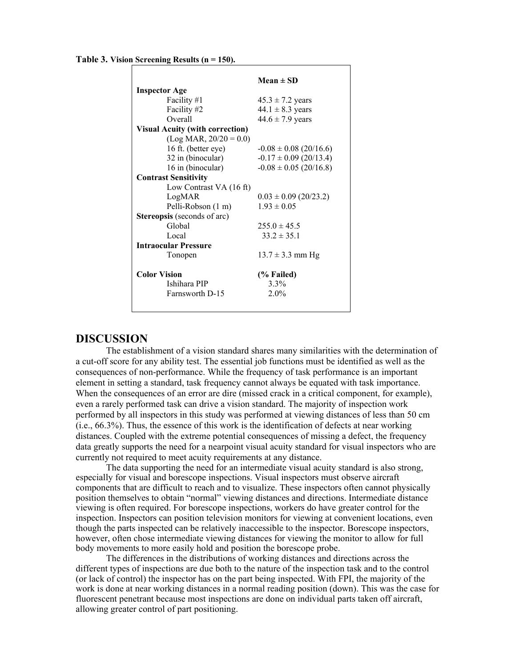**Table 3. Vision Screening Results (n = 150).**

|                                        | Mean $\pm$ SD              |  |  |  |
|----------------------------------------|----------------------------|--|--|--|
| <b>Inspector Age</b>                   |                            |  |  |  |
| Facility #1                            | $45.3 \pm 7.2$ years       |  |  |  |
| Facility #2                            | $44.1 \pm 8.3$ years       |  |  |  |
| Overall                                | $44.6 \pm 7.9$ years       |  |  |  |
| <b>Visual Acuity (with correction)</b> |                            |  |  |  |
| $(Log MAR, 20/20 = 0.0)$               |                            |  |  |  |
| 16 ft. (better eye)                    | $-0.08 \pm 0.08$ (20/16.6) |  |  |  |
| 32 in (binocular)                      | $-0.17 \pm 0.09$ (20/13.4) |  |  |  |
| 16 in (binocular)                      | $-0.08 \pm 0.05$ (20/16.8) |  |  |  |
| <b>Contrast Sensitivity</b>            |                            |  |  |  |
| Low Contrast VA (16 ft)                |                            |  |  |  |
| LogMAR                                 | $0.03 \pm 0.09$ (20/23.2)  |  |  |  |
| Pelli-Robson (1 m)                     | $1.93 \pm 0.05$            |  |  |  |
| <b>Stereopsis</b> (seconds of arc)     |                            |  |  |  |
| Global                                 | $255.0 \pm 45.5$           |  |  |  |
| Local                                  | $33.2 \pm 35.1$            |  |  |  |
| <b>Intraocular Pressure</b>            |                            |  |  |  |
| Tonopen                                | $13.7 \pm 3.3$ mm Hg       |  |  |  |
| <b>Color Vision</b>                    | (% Failed)                 |  |  |  |
| Ishihara PIP                           | 3.3%                       |  |  |  |
| Farnsworth D-15                        | 2.0%                       |  |  |  |
|                                        |                            |  |  |  |
|                                        |                            |  |  |  |

## **DISCUSSION**

The establishment of a vision standard shares many similarities with the determination of a cut-off score for any ability test. The essential job functions must be identified as well as the consequences of non-performance. While the frequency of task performance is an important element in setting a standard, task frequency cannot always be equated with task importance. When the consequences of an error are dire (missed crack in a critical component, for example), even a rarely performed task can drive a vision standard. The majority of inspection work performed by all inspectors in this study was performed at viewing distances of less than 50 cm (i.e., 66.3%). Thus, the essence of this work is the identification of defects at near working distances. Coupled with the extreme potential consequences of missing a defect, the frequency data greatly supports the need for a nearpoint visual acuity standard for visual inspectors who are currently not required to meet acuity requirements at any distance.

The data supporting the need for an intermediate visual acuity standard is also strong, especially for visual and borescope inspections. Visual inspectors must observe aircraft components that are difficult to reach and to visualize. These inspectors often cannot physically position themselves to obtain "normal" viewing distances and directions. Intermediate distance viewing is often required. For borescope inspections, workers do have greater control for the inspection. Inspectors can position television monitors for viewing at convenient locations, even though the parts inspected can be relatively inaccessible to the inspector. Borescope inspectors, however, often chose intermediate viewing distances for viewing the monitor to allow for full body movements to more easily hold and position the borescope probe.

The differences in the distributions of working distances and directions across the different types of inspections are due both to the nature of the inspection task and to the control (or lack of control) the inspector has on the part being inspected. With FPI, the majority of the work is done at near working distances in a normal reading position (down). This was the case for fluorescent penetrant because most inspections are done on individual parts taken off aircraft, allowing greater control of part positioning.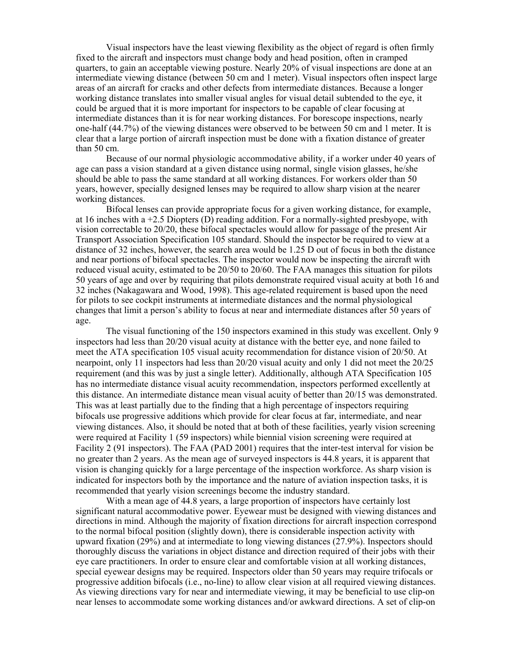Visual inspectors have the least viewing flexibility as the object of regard is often firmly fixed to the aircraft and inspectors must change body and head position, often in cramped quarters, to gain an acceptable viewing posture. Nearly 20% of visual inspections are done at an intermediate viewing distance (between 50 cm and 1 meter). Visual inspectors often inspect large areas of an aircraft for cracks and other defects from intermediate distances. Because a longer working distance translates into smaller visual angles for visual detail subtended to the eye, it could be argued that it is more important for inspectors to be capable of clear focusing at intermediate distances than it is for near working distances. For borescope inspections, nearly one-half (44.7%) of the viewing distances were observed to be between 50 cm and 1 meter. It is clear that a large portion of aircraft inspection must be done with a fixation distance of greater than 50 cm.

Because of our normal physiologic accommodative ability, if a worker under 40 years of age can pass a vision standard at a given distance using normal, single vision glasses, he/she should be able to pass the same standard at all working distances. For workers older than 50 years, however, specially designed lenses may be required to allow sharp vision at the nearer working distances.

Bifocal lenses can provide appropriate focus for a given working distance, for example, at 16 inches with a  $+2.5$  Diopters (D) reading addition. For a normally-sighted presbyope, with vision correctable to 20/20, these bifocal spectacles would allow for passage of the present Air Transport Association Specification 105 standard. Should the inspector be required to view at a distance of 32 inches, however, the search area would be 1.25 D out of focus in both the distance and near portions of bifocal spectacles. The inspector would now be inspecting the aircraft with reduced visual acuity, estimated to be 20/50 to 20/60. The FAA manages this situation for pilots 50 years of age and over by requiring that pilots demonstrate required visual acuity at both 16 and 32 inches (Nakagawara and Wood, 1998). This age-related requirement is based upon the need for pilots to see cockpit instruments at intermediate distances and the normal physiological changes that limit a person's ability to focus at near and intermediate distances after 50 years of age.

The visual functioning of the 150 inspectors examined in this study was excellent. Only 9 inspectors had less than 20/20 visual acuity at distance with the better eye, and none failed to meet the ATA specification 105 visual acuity recommendation for distance vision of 20/50. At nearpoint, only 11 inspectors had less than 20/20 visual acuity and only 1 did not meet the 20/25 requirement (and this was by just a single letter). Additionally, although ATA Specification 105 has no intermediate distance visual acuity recommendation, inspectors performed excellently at this distance. An intermediate distance mean visual acuity of better than 20/15 was demonstrated. This was at least partially due to the finding that a high percentage of inspectors requiring bifocals use progressive additions which provide for clear focus at far, intermediate, and near viewing distances. Also, it should be noted that at both of these facilities, yearly vision screening were required at Facility 1 (59 inspectors) while biennial vision screening were required at Facility 2 (91 inspectors). The FAA (PAD 2001) requires that the inter-test interval for vision be no greater than 2 years. As the mean age of surveyed inspectors is 44.8 years, it is apparent that vision is changing quickly for a large percentage of the inspection workforce. As sharp vision is indicated for inspectors both by the importance and the nature of aviation inspection tasks, it is recommended that yearly vision screenings become the industry standard.

With a mean age of 44.8 years, a large proportion of inspectors have certainly lost significant natural accommodative power. Eyewear must be designed with viewing distances and directions in mind. Although the majority of fixation directions for aircraft inspection correspond to the normal bifocal position (slightly down), there is considerable inspection activity with upward fixation (29%) and at intermediate to long viewing distances ( $27.9%$ ). Inspectors should thoroughly discuss the variations in object distance and direction required of their jobs with their eye care practitioners. In order to ensure clear and comfortable vision at all working distances, special eyewear designs may be required. Inspectors older than 50 years may require trifocals or progressive addition bifocals (i.e., no-line) to allow clear vision at all required viewing distances. As viewing directions vary for near and intermediate viewing, it may be beneficial to use clip-on near lenses to accommodate some working distances and/or awkward directions. A set of clip-on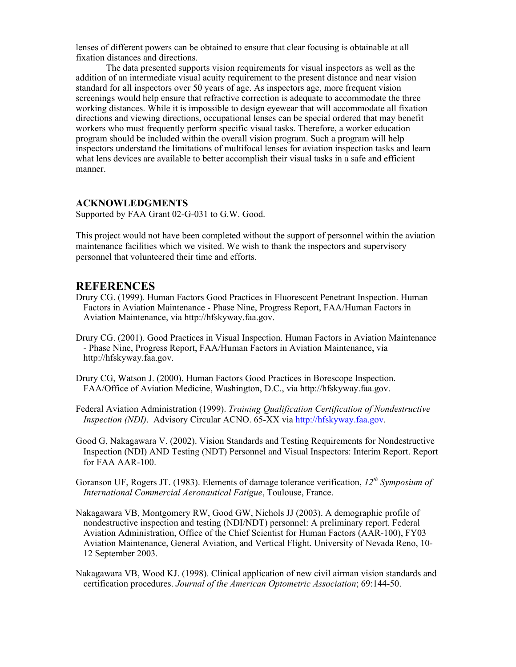lenses of different powers can be obtained to ensure that clear focusing is obtainable at all fixation distances and directions.

The data presented supports vision requirements for visual inspectors as well as the addition of an intermediate visual acuity requirement to the present distance and near vision standard for all inspectors over 50 years of age. As inspectors age, more frequent vision screenings would help ensure that refractive correction is adequate to accommodate the three working distances. While it is impossible to design eyewear that will accommodate all fixation directions and viewing directions, occupational lenses can be special ordered that may benefit workers who must frequently perform specific visual tasks. Therefore, a worker education program should be included within the overall vision program. Such a program will help inspectors understand the limitations of multifocal lenses for aviation inspection tasks and learn what lens devices are available to better accomplish their visual tasks in a safe and efficient manner.

#### **ACKNOWLEDGMENTS**

Supported by FAA Grant 02-G-031 to G.W. Good.

This project would not have been completed without the support of personnel within the aviation maintenance facilities which we visited. We wish to thank the inspectors and supervisory personnel that volunteered their time and efforts.

## **REFERENCES**

- Drury CG. (1999). Human Factors Good Practices in Fluorescent Penetrant Inspection. Human Factors in Aviation Maintenance - Phase Nine, Progress Report, FAA/Human Factors in Aviation Maintenance, via http://hfskyway.faa.gov.
- Drury CG. (2001). Good Practices in Visual Inspection. Human Factors in Aviation Maintenance - Phase Nine, Progress Report, FAA/Human Factors in Aviation Maintenance, via http://hfskyway.faa.gov.

Drury CG, Watson J. (2000). Human Factors Good Practices in Borescope Inspection. FAA/Office of Aviation Medicine, Washington, D.C., via http://hfskyway.faa.gov.

Federal Aviation Administration (1999). *Training Qualification Certification of Nondestructive Inspection (NDI)*. Advisory Circular ACNO. 65-XX via http://hfskyway.faa.gov.

Good G, Nakagawara V. (2002). Vision Standards and Testing Requirements for Nondestructive Inspection (NDI) AND Testing (NDT) Personnel and Visual Inspectors: Interim Report. Report for FAA AAR-100.

Goranson UF, Rogers JT. (1983). Elements of damage tolerance verification, *12th Symposium of International Commercial Aeronautical Fatigue*, Toulouse, France.

- Nakagawara VB, Montgomery RW, Good GW, Nichols JJ (2003). A demographic profile of nondestructive inspection and testing (NDI/NDT) personnel: A preliminary report. Federal Aviation Administration, Office of the Chief Scientist for Human Factors (AAR-100), FY03 Aviation Maintenance, General Aviation, and Vertical Flight. University of Nevada Reno, 10- 12 September 2003.
- Nakagawara VB, Wood KJ. (1998). Clinical application of new civil airman vision standards and certification procedures. *Journal of the American Optometric Association*; 69:144-50.